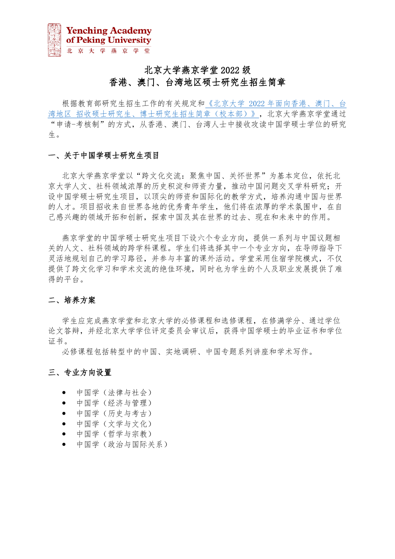# 北京大学燕京学堂 2022 级 香港、澳门、台湾地区硕士研究生招生简章

根据教育部研究生招生工作的有关规定和《北京大学 2022 [年面向香港、澳门、台](https://admission.pku.edu.cn/zsxx/gatzs/gatzsjz/index.htm?CSRFT=XX9G-2X2N-ZP4S-LCBN-7LZL-ML1B-FDWY-8F6W) 湾地区 [招收硕士研究生、博士研究生招生简章\(校本部\)》,](https://admission.pku.edu.cn/zsxx/gatzs/gatzsjz/index.htm?CSRFT=XX9G-2X2N-ZP4S-LCBN-7LZL-ML1B-FDWY-8F6W)北京大学燕京学堂通过 "申请-考核制"的方式,从香港、澳门、台湾人士中接收攻读中国学硕士学位的研究 生。

#### 一、关于中国学硕士研究生项目

北京大学燕京学堂以"跨文化交流: 聚焦中国、关怀世界"为基本定位, 依托北 京大学人文、社科领域浓厚的历史积淀和师资力量,推动中国问题交叉学科研究;开 设中国学硕士研究生项目,以顶尖的师资和国际化的教学方式,培养沟通中国与世界 的人才。项目招收来自世界各地的优秀青年学生,他们将在浓厚的学术氛围中,在自 己感兴趣的领域开拓和创新,探索中国及其在世界的过去、现在和未来中的作用。

燕京学堂的中国学硕士研究生项目下设六个专业方向,提供一系列与中国议题相 关的人文、社科领域的跨学科课程。学生们将选择其中一个专业方向,在导师指导下 灵活地规划自己的学习路径,并参与丰富的课外活动。学堂采用住宿学院模式,不仅 提供了跨文化学习和学术交流的绝佳环境,同时也为学生的个人及职业发展提供了难 得的平台。

#### 二、培养方案

学生应完成燕京学堂和北京大学的必修课程和选修课程,在修满学分、通过学位 论文答辩,并经北京大学学位评定委员会审议后,获得中国学硕士的毕业证书和学位 证书。

必修课程包括转型中的中国、实地调研、中国专题系列讲座和学术写作。

#### 三、专业方向设置

- 中国学(法律与社会)
- 中国学(经济与管理)
- 中国学(历史与考古)
- 中国学(文学与文化)
- 中国学(哲学与宗教)
- 中国学(政治与国际关系)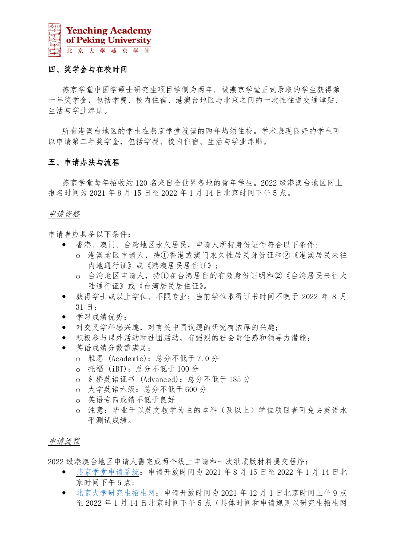

#### 四、奖学金与在校时间

燕京学堂中国学硕士研究生项目学制为两年, 被燕京学堂正式录取的学生获得第 一年奖学金,包括学费、校内住宿、港澳台地区与北京之间的一次性往返交通津贴、 生活与学业津贴。

所有港澳台地区的学生在燕京学堂就读的两年均须住校。学术表现良好的学生可 以申请第二年奖学金,包括学费、校内住宿、生活与学业津贴。

#### 五、申请办法与流程

燕京学堂每年招收约 120 名来自全世界各地的青年学生。2022 级港澳台地区网上 报名时间为 2021 年 8 月 15 日至 2022 年 1 月 14 日北京时间下午 5 点。

#### 申请资格

申请者应具备以下条件:

- 香港、澳门、台湾地区永久居民,申请人所持身份证件符合以下条件:
	- o 港澳地区申请人,持①香港或澳门永久性居民身份证和②《港澳居民来往 内地通行证》或《港澳居民居住证》;
	- o 台湾地区申请人,持①在台湾居住的有效身份证明和②《台湾居民来往大 陆通行证》或《台湾居民居住证》。
- 获得学士或以上学位、不限专业;当前学位取得证书时间不晚于 2022 年 8 月 31 日;
- 学习成绩优秀;
- 对交叉学科感兴趣,对有关中国议题的研究有浓厚的兴趣;
- 积极参与课外活动和社团活动,有强烈的社会责任感和领导力潜能;
- 英语成绩分数需满足:
	- o 雅思 (Academic):总分不低于 7.0 分
	- o 托福 (iBT):总分不低于 100 分
	- o 剑桥英语证书 (Advanced):总分不低于 185 分
	- o 大学英语六级:总分不低于 600 分
	- o 英语专四成绩不低于良好
	- o 注意:毕业于以英文教学为主的本科(及以上)学位项目者可免去英语水 平测试成绩。

#### 申请流程

2022 级港澳台地区申请人需完成两个线上申请和一次纸质版材料提交程序:

- [燕京学堂申请系统:](https://yenchingacademy.netapply.cn/YENCHING/login.html)申请开放时间为 2021 年 8 月 15 日至 2022 年 1 月 14 日北 京时间下午 5 点;
- [北京大学研究生招生网:](https://admission.pku.edu.cn/applications/)申请开放时间为 2021 年 12 月 1 日北京时间上午 9 点 至 2022 年 1 月 14 日北京时间下午 5 点(具体时间和申请规则以研究生招生网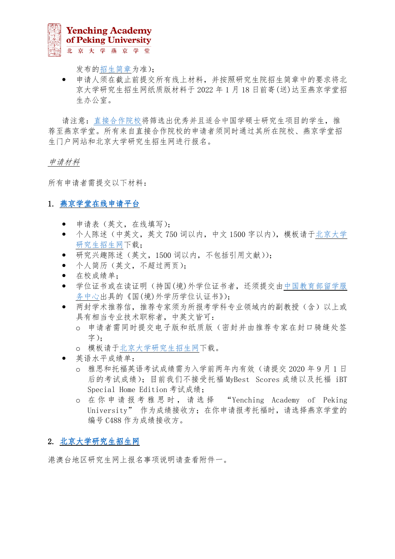

发布[的招生简章为](https://admission.pku.edu.cn/zsxx/gatzs/index.htm)准);

 申请人须在截止前提交所有线上材料,并按照研究生院招生简章中的要求将北 京大学研究生招生网纸质版材料于 2022 年 1 月 18 日前寄(送)达至燕京学堂招 生办公室。

请注意[:直接合作院校将](https://yenchingacademy.pku.edu.cn/ADMISSIONS/Partner_and_Cooperating_Universities.htm)筛选出优秀并且适合中国学硕士研究生项目的学生,推 荐至燕京学堂。所有来自直接合作院校的申请者须同时通过其所在院校、燕京学堂招 生门户网站和北京大学研究生招生网进行报名。

#### 申请材料

所有申请者需提交以下材料:

## 1. [燕京学堂在线申请平台](https://yenchingacademy.netapply.cn/YENCHING/login.html)

- 申请表(英文,在线填写);
- 个人陈述(中英文,英文 750 词以内,中文 1500 字以内),模板请[于北京大学](https://admission.pku.edu.cn/zsxx/gatzs/index.htm) [研究生招生网下](https://admission.pku.edu.cn/zsxx/gatzs/index.htm)载;
- 研究兴趣陈述(英文,1500 词以内,不包括引用文献));
- 个人简历(英文,不超过两页);
- 在校成绩单;
- 学位证书或在读证明(持国(境)外学位证书者,还须提交[由中国教育部留学服](http://zwfw.cscse.edu.cn/) [务中心出](http://zwfw.cscse.edu.cn/)具的《国(境)外学历学位认证书》);
- 两封学术推荐信,推荐专家须为所报考学科专业领域内的副教授(含)以上或 具有相当专业技术职称者,中英文皆可:
	- o 申请者需同时提交电子版和纸质版(密封并由推荐专家在封口骑缝处签 字);
	- o 模板请[于北京大学研究生招生网下](https://admission.pku.edu.cn/zsxx/gatzs/index.htm)载。
- 英语水平成绩单:
	- o 雅思和托福英语考试成绩需为入学前两年内有效(请提交 2020 年 9 月 1 日 后的考试成绩);目前我们不接受托福 MyBest Scores 成绩以及托福 iBT Special Home Edition 考试成绩;
	- o 在 你 申 请 报 考 雅 思 时 , 请 选 择 "Yenching Academy of Peking University"作为成绩接收方; 在你申请报考托福时, 请选择燕京学堂的 编号 C488 作为成绩接收方。

#### 2. [北京大学研究生招生网](https://admission.pku.edu.cn/zsxx/gatzs/index.htm)

港澳台地区研究生网上报名事项说明请查看附件一。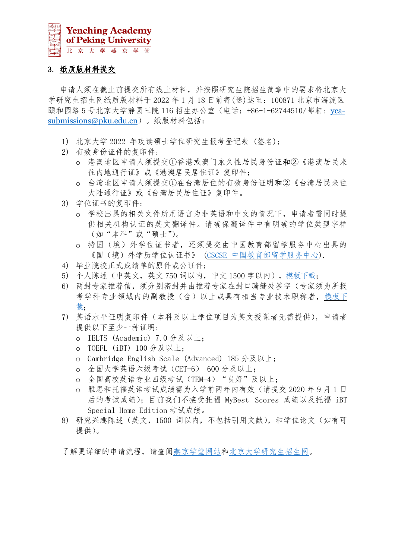

## 3. 纸质版材料提交

申请人须在截止前提交所有线上材料,并按照研究生院招生简章中的要求将北京大 学研究生招生网纸质版材料于 2022 年 1 月 18 日前寄(送)达至:100871 北京市海淀区 颐和园路 5 号北京大学静园三院 116 招生办公室 (电话: +86-1-62744510/邮箱: [yca](mailto:yca-submissions@pku.edu.cn)[submissions@pku.edu.cn](mailto:yca-submissions@pku.edu.cn))。纸版材料包括:

- 1) 北京大学 2022 年攻读硕士学位研究生报考登记表 (签名);
- 2) 有效身份证件的复印件:
	- o 港澳地区申请人须提交①香港或澳门永久性居民身份证和②《港澳居民来 往内地通行证》或《港澳居民居住证》复印件;
	- o 台湾地区申请人须提交①在台湾居住的有效身份证明和②《台湾居民来往 大陆通行证》或《台湾居民居住证》复印件。
- 3) 学位证书的复印件:
	- o 学校出具的相关文件所用语言为非英语和中文的情况下,申请者需同时提 供相关机构认证的英文翻译件。请确保翻译件中有明确的学位类型字样 (如"本科"或"硕士")。
	- o 持国(境)外学位证书者,还须提交由中国教育部留学服务中心出具的 《国(境)外学历学位认证书》 (CSCSE [中国教育部留学服务中心](http://zwfw.cscse.edu.cn/)).
- 4) 毕业院校正式成绩单的原件或公证件;
- 5) 个人陈述(中英文,英文 750 词以内,中文 1500 字以内)[,模板下载;](https://admission.pku.edu.cn/zsxx/gatzs/gatzsjz/index.htm)
- 6) 两封专家推荐信,须分别密封并由推荐专家在封口骑缝处签字(专家须为所报 考学科专业领域内的副教授(含)以上或具有相当专业技术职称者[,模板下](https://admission.pku.edu.cn/zsxx/gatzs/gatzsjz/index.htm) [载;](https://admission.pku.edu.cn/zsxx/gatzs/gatzsjz/index.htm)
- 7) 英语水平证明复印件(本科及以上学位项目为英文授课者无需提供),申请者 提供以下至少一种证明:
	- o IELTS (Academic) 7.0 分及以上;
	- o TOEFL (iBT) 100 分及以上;
	- o Cambridge English Scale (Advanced) 185 分及以上;
	- o 全国大学英语六级考试(CET-6) 600 分及以上;
	- o 全国高校英语专业四级考试(TEM-4)"良好"及以上;
	- o 雅思和托福英语考试成绩需为入学前两年内有效(请提交 2020 年 9 月 1 日 后的考试成绩);目前我们不接受托福 MyBest Scores 成绩以及托福 iBT Special Home Edition 考试成绩。
- 8) 研究兴趣陈述(英文,1500 词以内,不包括引用文献),和学位论文(如有可 提供)。

了解更详细的申请流程,请查[阅燕京学堂网站](https://yenching.pku.edu.cn/)[和北京大学研究生招生网。](https://admission.pku.edu.cn/zsxx/gatzs/index.htm)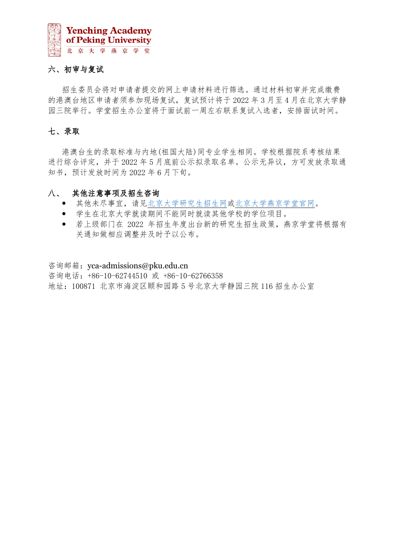

## 六、初审与复试

招生委员会将对申请者提交的网上申请材料进行筛选。通过材料初审并完成缴费 的港澳台地区申请者须参加现场复试,复试预计将于 2022 年 3 月至 4 月在北京大学静 园三院举行。学堂招生办公室将于面试前一周左右联系复试入选者,安排面试时间。

## 七、录取

港澳台生的录取标准与内地(祖国大陆)同专业学生相同。学校根据院系考核结果 进行综合评定,并于 2022 年 5 月底前公示拟录取名单。公示无异议,方可发放录取通 知书,预计发放时间为 2022 年 6 月下旬。

#### 八、 其他注意事项及招生咨询

- 其他未尽事宜,请[见北京大学研究生招生网](https://admission.pku.edu.cn/index.htm)[或北京大学燕京学堂官网。](https://yenching.pku.edu.cn/)
- 学生在北京大学就读期间不能同时就读其他学校的学位项目。
- 若上级部门在 2022 年招生年度出台新的研究生招生政策,燕京学堂将根据有 关通知做相应调整并及时予以公布。

咨询邮箱: yca-admissions@pku.edu.cn 咨询电话:+86-10-62744510 或 +86-10-62766358 地址:100871 北京市海淀区颐和园路 5 号北京大学静园三院 116 招生办公室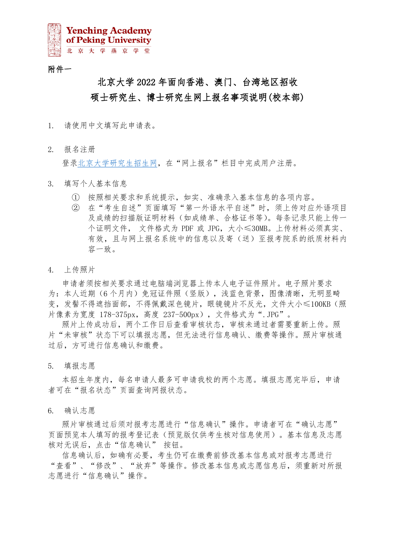

## 附件一

# 北京大学 2022 年面向香港、澳门、台湾地区招收 硕士研究生、博士研究生网上报名事项说明(校本部)

- 1. 请使用中文填写此申请表。
- 2. 报名注册

登[录北京大学研究生招生网,](https://admission.pku.edu.cn/index.htm)在"网上报名"栏目中完成用户注册。

- 3. 填写个人基本信息
	- ① 按照相关要求和系统提示,如实、准确录入基本信息的各项内容。
	- ② 在"考生自述"页面填写"第一外语水平自述"时,须上传对应外语项目 及成绩的扫描版证明材料(如成绩单、合格证书等)。每条记录只能上传一 个证明文件, 文件格式为 PDF 或 JPG,大小≤30MB。上传材料必须真实、 有效,且与网上报名系统中的信息以及寄(送)至报考院系的纸质材料内 容一致。
- 4. 上传照片

申请者须按相关要求通过电脑端浏览器上传本人电子证件照片。电子照片要求 为:本人近期(6 个月内)免冠证件照(竖版),浅蓝色背景,图像清晰,无明显畸 变,发髻不得遮挡面部,不得佩戴深色镜片,眼镜镜片不反光,文件大小≤100KB(照 片像素为宽度 178-375px, 高度 237-500px), 文件格式为".JPG"。

照片上传成功后,两个工作日后查看审核状态,审核未通过者需要重新上传。照 片"未审核"状态下可以填报志愿,但无法进行信息确认、缴费等操作。照片审核通 过后,方可进行信息确认和缴费。

5. 填报志愿

本招生年度内,每名申请人最多可申请我校的两个志愿。填报志愿完毕后,申请 者可在"报名状态"页面查询网报状态。

6. 确认志愿

照片审核通过后须对报考志愿进行"信息确认"操作。申请者可在"确认志愿" 页面预览本人填写的报考登记表(预览版仅供考生核对信息使用)。基本信息及志愿 核对无误后,点击"信息确认"按钮。

信息确认后,如确有必要,考生仍可在缴费前修改基本信息或对报考志愿进行 "查看"、"修改"、"放弃"等操作。修改基本信息或志愿信息后,须重新对所报 志愿进行"信息确认"操作。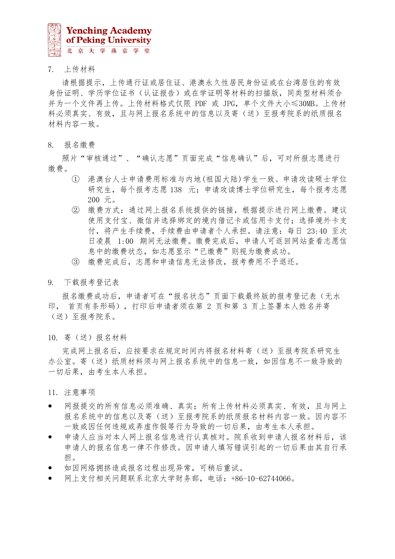

7. 上传材料

请根据提示,上传通行证或居住证、港澳永久性居民身份证或在台湾居住的有效 身份证明、学历学位证书(认证报告)或在学证明等材料的扫描版,同类型材料须合 并为一个文件再上传。上传材料格式仅限 PDF 或 JPG,单个文件大小≤30MB。上传材 料必须真实、有效,且与网上报名系统中的信息以及寄(送)至报考院系的纸质报名 材料内容一致。

8. 报名缴费

照片"审核通过"、"确认志愿"页面完成"信息确认"后,可对所报志愿进行 缴费。

- ① 港澳台人士申请费用标准与内地(祖国大陆)学生一致。申请攻读硕士学位 研究生,每个报考志愿 138 元;申请攻读博士学位研究生,每个报考志愿 200 元。
- ② 缴费方式:通过网上报名系统提供的链接,根据提示进行网上缴费。建议 使用支付宝、微信并选择绑定的境内借记卡或信用卡支付;选择境外卡支 付,将产生手续费,手续费由申请者个人承担。请注意:每日 23:40 至次 日凌晨 1:00 期间无法缴费。缴费完成后,申请人可返回网站查看志愿信 息中的缴费状态,如志愿显示"已缴费"则视为缴费成功。
- ③ 缴费完成后,志愿和申请信息无法修改,报考费用不予退还。
- 9. 下载报考登记表

报名缴费成功后,申请者可在"报名状态"页面下载最终版的报考登记表(无水 印, 首页有条形码),打印后申请者须在第 2 页和第 3 页上签署本人姓名并寄 (送)至报考院系。

10. 寄(送)报名材料

完成网上报名后,应按要求在规定时间内将报名材料寄(送)至报考院系研究生 办公室。寄(送)纸质材料须与网上报名系统中的信息一致,如因信息不一致导致的 一切后果,由考生本人承担。

11. 注意事项

- 网报提交的所有信息必须准确、真实;所有上传材料必须真实、有效,且与网上 报名系统中的信息以及寄(送)至报考院系的纸质报名材料内容一致。因内容不 一致或因任何违规或弄虚作假等行为导致的一切后果,由考生本人承担。
- 申请人应当对本人网上报名信息进行认真核对。院系收到申请人报名材料后,该 申请人的报名信息一律不作修改。因申请人填写错误引起的一切后果由其自行承 担。
- 如因网络拥挤造成报名过程出现异常,可稍后重试。
- 网上支付相关问题联系北京大学财务部,电话:+86-10-62744066。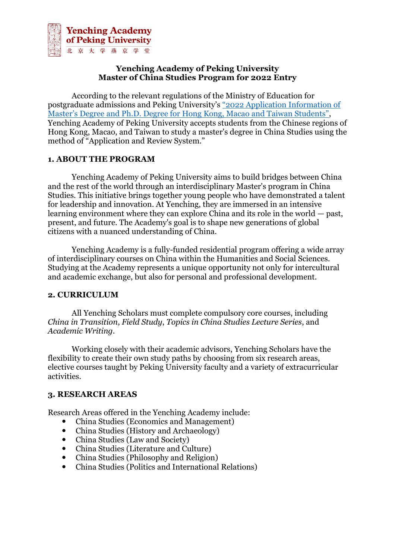

## **Yenching Academy of Peking University Master of China Studies Program for 2022 Entry**

According to the relevant regulations of the Ministry of Education for postgraduate admissions and Peking University's ["2022 Application Information of](https://admission.pku.edu.cn/zsxx/gatzs/gatzsjz/index.htm?CSRFT=XX9G-2X2N-ZP4S-LCBN-7LZL-ML1B-FDWY-8F6W)  [Master's Degree and Ph.D. Degree for Hong Kong, Maca](https://admission.pku.edu.cn/zsxx/gatzs/gatzsjz/index.htm?CSRFT=XX9G-2X2N-ZP4S-LCBN-7LZL-ML1B-FDWY-8F6W)o and Taiwan Students", Yenching Academy of Peking University accepts students from the Chinese regions of Hong Kong, Macao, and Taiwan to study a master's degree in China Studies using the method of "Application and Review System."

## **1. ABOUT THE PROGRAM**

Yenching Academy of Peking University aims to build bridges between China and the rest of the world through an interdisciplinary Master's program in China Studies. This initiative brings together young people who have demonstrated a talent for leadership and innovation. At Yenching, they are immersed in an intensive learning environment where they can explore China and its role in the world — past, present, and future. The Academy's goal is to shape new generations of global citizens with a nuanced understanding of China.

Yenching Academy is a fully-funded residential program offering a wide array of interdisciplinary courses on China within the Humanities and Social Sciences. Studying at the Academy represents a unique opportunity not only for intercultural and academic exchange, but also for personal and professional development.

## **2. CURRICULUM**

All Yenching Scholars must complete compulsory core courses, including *China in Transition*, *Field Study*, *Topics in China Studies Lecture Series*, and *Academic Writing*.

Working closely with their academic advisors, Yenching Scholars have the flexibility to create their own study paths by choosing from six research areas, elective courses taught by Peking University faculty and a variety of extracurricular activities.

## **3. RESEARCH AREAS**

Research Areas offered in the Yenching Academy include:

- China Studies (Economics and Management)
- China Studies (History and Archaeology)
- China Studies (Law and Society)
- China Studies (Literature and Culture)
- China Studies (Philosophy and Religion)
- China Studies (Politics and International Relations)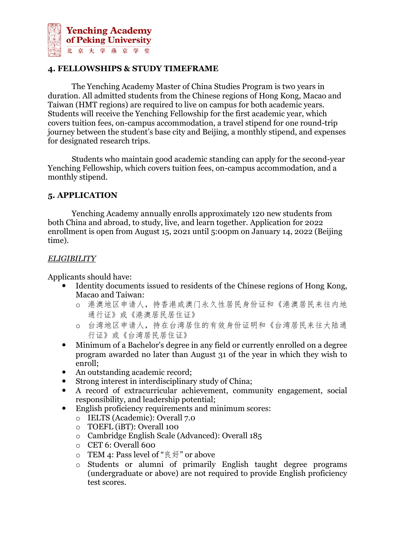

## **4. FELLOWSHIPS & STUDY TIMEFRAME**

The Yenching Academy Master of China Studies Program is two years in duration. All admitted students from the Chinese regions of Hong Kong, Macao and Taiwan (HMT regions) are required to live on campus for both academic years. Students will receive the Yenching Fellowship for the first academic year, which covers tuition fees, on-campus accommodation, a travel stipend for one round-trip journey between the student's base city and Beijing, a monthly stipend, and expenses for designated research trips.

Students who maintain good academic standing can apply for the second-year Yenching Fellowship, which covers tuition fees, on-campus accommodation, and a monthly stipend.

## **5. APPLICATION**

Yenching Academy annually enrolls approximately 120 new students from both China and abroad, to study, live, and learn together. Application for 2022 enrollment is open from August 15, 2021 until 5:00pm on January 14, 2022 (Beijing time).

#### *ELIGIBILITY*

Applicants should have:

- Identity documents issued to residents of the Chinese regions of Hong Kong, Macao and Taiwan:
	- o 港澳地区申请人,持香港或澳门永久性居民身份证和《港澳居民来往内地 通行证》或《港澳居民居住证》
	- o 台湾地区申请人,持在台湾居住的有效身份证明和《台湾居民来往大陆通 行证》或《台湾居民居住证》
- Minimum of a Bachelor's degree in any field or currently enrolled on a degree program awarded no later than August 31 of the year in which they wish to enroll;
- An outstanding academic record;
- Strong interest in interdisciplinary study of China;
- A record of extracurricular achievement, community engagement, social responsibility, and leadership potential;
- English proficiency requirements and minimum scores:
	- o IELTS (Academic): Overall 7.0
	- o TOEFL (iBT): Overall 100
	- o Cambridge English Scale (Advanced): Overall 185
	- o CET 6: Overall 600
	- o TEM 4: Pass level of "良好" or above
	- o Students or alumni of primarily English taught degree programs (undergraduate or above) are not required to provide English proficiency test scores.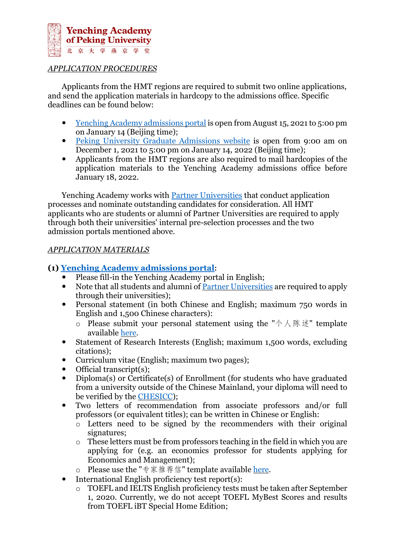

## *APPLICATION PROCEDURES*

Applicants from the HMT regions are required to submit two online applications, and send the application materials in hardcopy to the admissions office. Specific deadlines can be found below:

- Yenching Academy [admissions](https://yenchingacademy.netapply.cn/YENCHING/login.html) portal is open from August 15, 2021 to 5:00 pm on January 14 (Beijing time);
- Peking University Graduate [Admissions](https://admission.pku.edu.cn/index.htm) website is open from 9:00 am on December 1, 2021 to 5:00 pm on January 14, 2022 (Beijing time);
- Applicants from the HMT regions are also required to mail hardcopies of the application materials to the Yenching Academy admissions office before January 18, 2022.

Yenching Academy works with [Partner Universities](https://yenchingacademy.pku.edu.cn/ADMISSIONS/Partner_and_Cooperating_Universities.htm) that conduct application processes and nominate outstanding candidates for consideration. All HMT applicants who are students or alumni of Partner Universities are required to apply through both their universities' internal pre-selection processes and the two admission portals mentioned above.

#### *APPLICATION MATERIALS*

## **(1) [Yenching Academy admissions portal](https://yenchingacademy.netapply.cn/YENCHING/login.html):**

- Please fill-in the Yenching Academy portal in English;
- Note that all students and alumni of Partner [Universities](https://yenchingacademy.pku.edu.cn/ADMISSIONS/Partner_and_Cooperating_Universities.htm) are required to apply through their universities);
- Personal statement (in both Chinese and English; maximum 750 words in English and 1,500 Chinese characters):
	- $\circ$  Please submit your personal statement using the "个人陈述" template available [here.](https://admission.pku.edu.cn/zsxx/gatzs/index.htm)
- Statement of Research Interests (English; maximum 1,500 words, excluding citations);
- Curriculum vitae (English; maximum two pages);
- Official transcript(s);
- Diploma(s) or Certificate(s) of Enrollment (for students who have graduated from a university outside of the Chinese Mainland, your diploma will need to be verified by the [CHESICC\)](http://zwfw.cscse.edu.cn/);
- Two letters of recommendation from associate professors and/or full professors (or equivalent titles); can be written in Chinese or English:
	- o Letters need to be signed by the recommenders with their original signatures;
	- o These letters must be from professors teaching in the field in which you are applying for (e.g. an economics professor for students applying for Economics and Management);
	- o Please use the "专家推荐信" template available [here.](https://admission.pku.edu.cn/zsxx/gatzs/index.htm)
- $\bullet$  International English proficiency test report(s):
	- o TOEFL and IELTS English proficiency tests must be taken after September 1, 2020. Currently, we do not accept TOEFL MyBest Scores and results from TOEFL iBT Special Home Edition;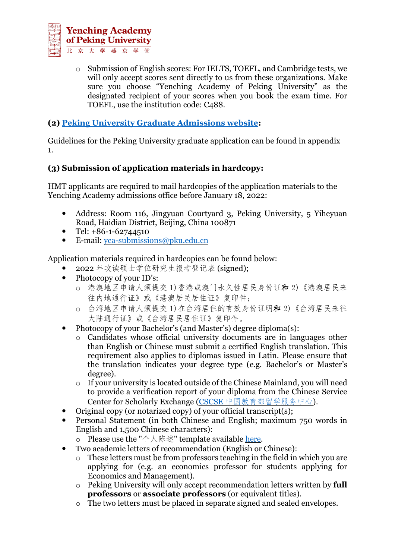

o Submission of English scores: For IELTS, TOEFL, and Cambridge tests, we will only accept scores sent directly to us from these organizations. Make sure you choose "Yenching Academy of Peking University" as the designated recipient of your scores when you book the exam time. For TOEFL, use the institution code: C488.

# **(2) [Peking University Graduate Admissions website:](https://admission.pku.edu.cn/index.htm)**

Guidelines for the Peking University graduate application can be found in appendix 1.

## **(3) Submission of application materials in hardcopy:**

HMT applicants are required to mail hardcopies of the application materials to the Yenching Academy admissions office before January 18, 2022:

- Address: Room 116, Jingyuan Courtyard 3, Peking University, 5 Yiheyuan Road, Haidian District, Beijing, China 100871
- $\bullet$  Tel:  $+86-1-62744510$
- E-mail: [yca-submissions@pku.edu.cn](mailto:yca-submissions@pku.edu.cn)

Application materials required in hardcopies can be found below:

- 2022 年攻读硕士学位研究生报考登记表 (signed);
- Photocopy of your ID's:
	- o 港澳地区申请人须提交 1)香港或澳门永久性居民身份证和 2)《港澳居民来 往内地通行证》或《港澳居民居住证》复印件;
	- o 台湾地区申请人须提交 1)在台湾居住的有效身份证明和 2)《台湾居民来往 大陆通行证》或《台湾居民居住证》复印件。
- Photocopy of your Bachelor's (and Master's) degree diploma(s):
	- Candidates whose official university documents are in languages other than English or Chinese must submit a certified English translation. This requirement also applies to diplomas issued in Latin. Please ensure that the translation indicates your degree type (e.g. Bachelor's or Master's degree).
	- o If your university is located outside of the Chinese Mainland, you will need to provide a verification report of your diploma from the Chinese Service Center for Scholarly Exchange (CSCSE [中国教育部留学服务中心](http://zwfw.cscse.edu.cn/)).
- Original copy (or notarized copy) of your official transcript(s);
- Personal Statement (in both Chinese and English; maximum 750 words in English and 1,500 Chinese characters):
	- o Please use the "个人陈述" template available <u>here</u>.
- Two academic letters of recommendation (English or Chinese):
	- o These letters must be from professors teaching in the field in which you are applying for (e.g. an economics professor for students applying for Economics and Management).
	- o Peking University will only accept recommendation letters written by **full professors** or **associate professors** (or equivalent titles).
	- o The two letters must be placed in separate signed and sealed envelopes.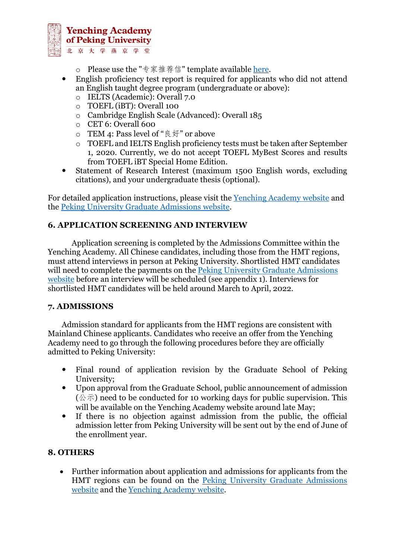

- o Please use the "专家推荐信" template available [here.](https://admission.pku.edu.cn/zsxx/gatzs/index.htm)
- English proficiency test report is required for applicants who did not attend an English taught degree program (undergraduate or above):
	- o IELTS (Academic): Overall 7.0
	- o TOEFL (iBT): Overall 100
	- o Cambridge English Scale (Advanced): Overall 185
	- o CET 6: Overall 600
	- o TEM 4: Pass level of "良好" or above
	- o TOEFL and IELTS English proficiency tests must be taken after September 1, 2020. Currently, we do not accept TOEFL MyBest Scores and results from TOEFL iBT Special Home Edition.
- Statement of Research Interest (maximum 1500 English words, excluding citations), and your undergraduate thesis (optional).

For detailed application instructions, please visit the [Yenching Academy website](https://yenchingacademy.pku.edu.cn/) and the [Peking University Graduate Admissions website.](https://admission.pku.edu.cn/zsxx/gatzs/index.htm)

## **6. APPLICATION SCREENING AND INTERVIEW**

Application screening is completed by the Admissions Committee within the Yenching Academy. All Chinese candidates, including those from the HMT regions, must attend interviews in person at Peking University. Shortlisted HMT candidates will need to complete the payments on the Peking University Graduate Admissions [website](https://admission.pku.edu.cn/index.htm) before an interview will be scheduled (see appendix 1). Interviews for shortlisted HMT candidates will be held around March to April, 2022.

#### **7. ADMISSIONS**

Admission standard for applicants from the HMT regions are consistent with Mainland Chinese applicants. Candidates who receive an offer from the Yenching Academy need to go through the following procedures before they are officially admitted to Peking University:

- Final round of application revision by the Graduate School of Peking University;
- Upon approval from the Graduate School, public announcement of admission  $({\textstyle \bigtriangleup} \bar{\pi})$  need to be conducted for 10 working days for public supervision. This will be available on the Yenching Academy website around late May;
- If there is no objection against admission from the public, the official admission letter from Peking University will be sent out by the end of June of the enrollment year.

## **8. OTHERS**

• Further information about application and admissions for applicants from the HMT regions can be found on the Peking University Graduate [Admissions](https://admission.pku.edu.cn/zsxx/gatzs/index.htm) [website](https://admission.pku.edu.cn/zsxx/gatzs/index.htm) and the [Yenching](https://yenchingacademy.pku.edu.cn/) Academy website.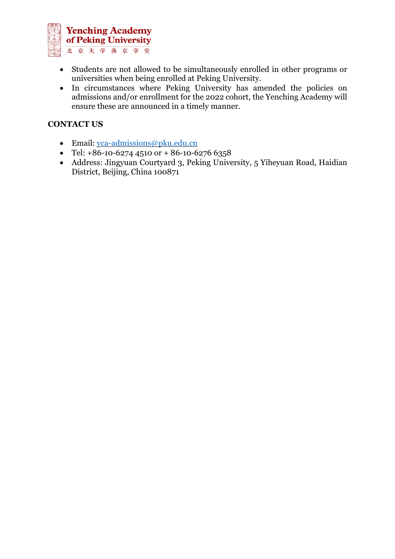

- Students are not allowed to be simultaneously enrolled in other programs or universities when being enrolled at Peking University.
- In circumstances where Peking University has amended the policies on admissions and/or enrollment for the 2022 cohort, the Yenching Academy will ensure these are announced in a timely manner.

## **CONTACT US**

- Email: [yca-admissions@pku.edu.cn](mailto:yca-admissions@pku.edu.cn)
- Tel:  $+86-10-6274$  4510 or  $+86-10-6276$  6358
- Address: Jingyuan Courtyard 3, Peking University, 5 Yiheyuan Road, Haidian District, Beijing, China 100871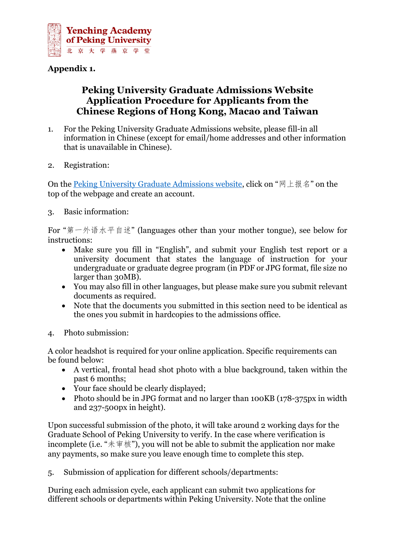

# **Appendix 1.**

# **Peking University Graduate Admissions Website Application Procedure for Applicants from the Chinese Regions of Hong Kong, Macao and Taiwan**

- 1. For the Peking University Graduate Admissions website, please fill-in all information in Chinese (except for email/home addresses and other information that is unavailable in Chinese).
- 2. Registration:

On the [Peking University Graduate Admissions website,](https://admission.pku.edu.cn/index.htm) click on "网上报名" on the top of the webpage and create an account.

3. Basic information:

For "第一外语水平自述" (languages other than your mother tongue), see below for instructions:

- Make sure you fill in "English", and submit your English test report or a university document that states the language of instruction for your undergraduate or graduate degree program (in PDF or JPG format, file size no larger than 30MB).
- You may also fill in other languages, but please make sure you submit relevant documents as required.
- Note that the documents you submitted in this section need to be identical as the ones you submit in hardcopies to the admissions office.
- 4. Photo submission:

A color headshot is required for your online application. Specific requirements can be found below:

- A vertical, frontal head shot photo with a blue background, taken within the past 6 months;
- Your face should be clearly displayed;
- Photo should be in JPG format and no larger than 100KB (178-375px in width and 237-500px in height).

Upon successful submission of the photo, it will take around 2 working days for the Graduate School of Peking University to verify. In the case where verification is incomplete (i.e. "未审核"), you will not be able to submit the application nor make any payments, so make sure you leave enough time to complete this step.

5. Submission of application for different schools/departments:

During each admission cycle, each applicant can submit two applications for different schools or departments within Peking University. Note that the online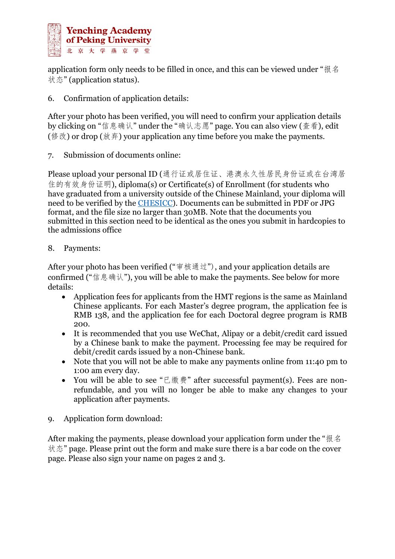

application form only needs to be filled in once, and this can be viewed under "报名 状态" (application status).

6. Confirmation of application details:

After your photo has been verified, you will need to confirm your application details by clicking on "信息确认" under the "确认志愿" page. You can also view (查看), edit (修改) or drop (放弃) your application any time before you make the payments.

7. Submission of documents online:

Please upload your personal ID (通行证或居住证、港澳永久性居民身份证或在台湾居 住的有效身份证明), diploma(s) or Certificate(s) of Enrollment (for students who have graduated from a university outside of the Chinese Mainland, your diploma will need to be verified by the [CHESICC\)](http://zwfw.cscse.edu.cn/). Documents can be submitted in PDF or JPG format, and the file size no larger than 30MB. Note that the documents you submitted in this section need to be identical as the ones you submit in hardcopies to the admissions office

## 8. Payments:

After your photo has been verified ("审核通过"), and your application details are confirmed ("信息确认"), you will be able to make the payments. See below for more details:

- Application fees for applicants from the HMT regions is the same as Mainland Chinese applicants. For each Master's degree program, the application fee is RMB 138, and the application fee for each Doctoral degree program is RMB 200.
- It is recommended that you use WeChat, Alipay or a debit/credit card issued by a Chinese bank to make the payment. Processing fee may be required for debit/credit cards issued by a non-Chinese bank.
- Note that you will not be able to make any payments online from 11:40 pm to 1:00 am every day.
- You will be able to see "已缴费" after successful payment(s). Fees are nonrefundable, and you will no longer be able to make any changes to your application after payments.
- 9. Application form download:

After making the payments, please download your application form under the "报名 状态" page. Please print out the form and make sure there is a bar code on the cover page. Please also sign your name on pages 2 and 3.